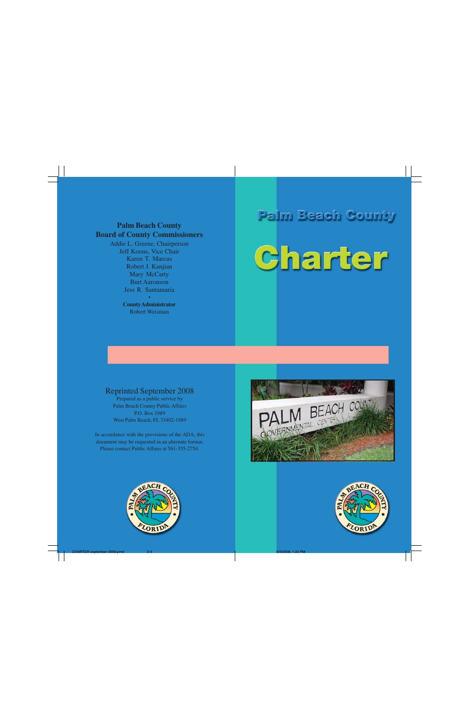# Palm Beach County Charter



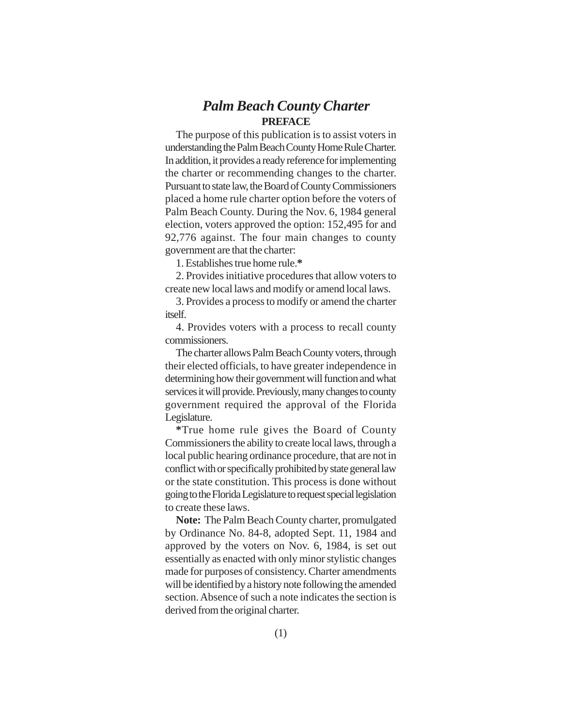# *Palm Beach County Charter* **PREFACE**

The purpose of this publication is to assist voters in understanding the Palm Beach County Home Rule Charter. In addition, it provides a ready reference for implementing the charter or recommending changes to the charter. Pursuant to state law, the Board of County Commissioners placed a home rule charter option before the voters of Palm Beach County. During the Nov. 6, 1984 general election, voters approved the option: 152,495 for and 92,776 against. The four main changes to county government are that the charter:

1. Establishes true home rule.**\***

2. Provides initiative procedures that allow voters to create new local laws and modify or amend local laws.

3. Provides a process to modify or amend the charter itself.

4. Provides voters with a process to recall county commissioners.

The charter allows Palm Beach County voters, through their elected officials, to have greater independence in determining how their government will function and what services it will provide. Previously, many changes to county government required the approval of the Florida Legislature.

**\***True home rule gives the Board of County Commissioners the ability to create local laws, through a local public hearing ordinance procedure, that are not in conflict with or specifically prohibited by state general law or the state constitution. This process is done without going to the Florida Legislature to request special legislation to create these laws.

**Note:** The Palm Beach County charter, promulgated by Ordinance No. 84-8, adopted Sept. 11, 1984 and approved by the voters on Nov. 6, 1984, is set out essentially as enacted with only minor stylistic changes made for purposes of consistency. Charter amendments will be identified by a history note following the amended section. Absence of such a note indicates the section is derived from the original charter.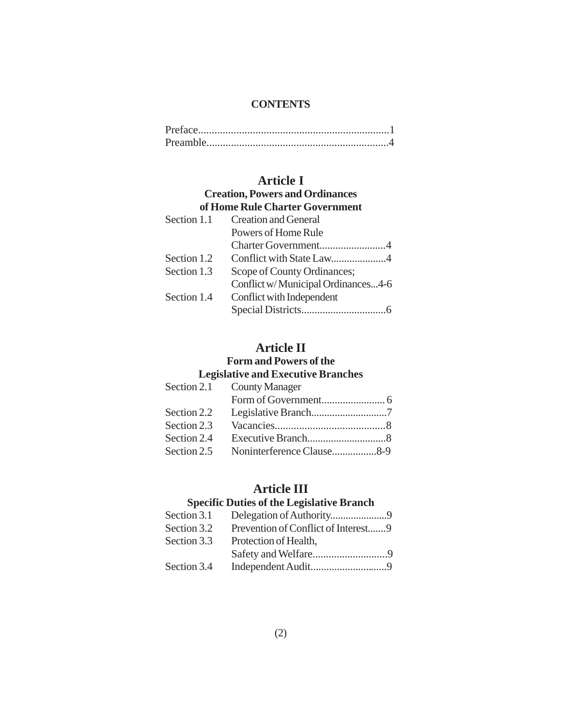#### **CONTENTS**

# **Article I**

#### **Creation, Powers and Ordinances of Home Rule Charter Government**

| vi monic isang Changel Government  |  |  |
|------------------------------------|--|--|
| <b>Creation and General</b>        |  |  |
| Powers of Home Rule                |  |  |
|                                    |  |  |
|                                    |  |  |
| Scope of County Ordinances;        |  |  |
| Conflict w/Municipal Ordinances4-6 |  |  |
| Conflict with Independent          |  |  |
|                                    |  |  |
|                                    |  |  |

# **Article II**

# **Form and Powers of the**

# **Legislative and Executive Branches**

|             | Section 2.1 County Manager |  |
|-------------|----------------------------|--|
|             |                            |  |
| Section 2.2 |                            |  |
| Section 2.3 |                            |  |
| Section 2.4 |                            |  |
| Section 2.5 | Noninterference Clause8-9  |  |
|             |                            |  |

# **Article III**

# **Specific Duties of the Legislative Branch**

| Section 3.1 |                                     |  |
|-------------|-------------------------------------|--|
| Section 3.2 | Prevention of Conflict of Interest9 |  |
| Section 3.3 | Protection of Health,               |  |
|             |                                     |  |
| Section 3.4 |                                     |  |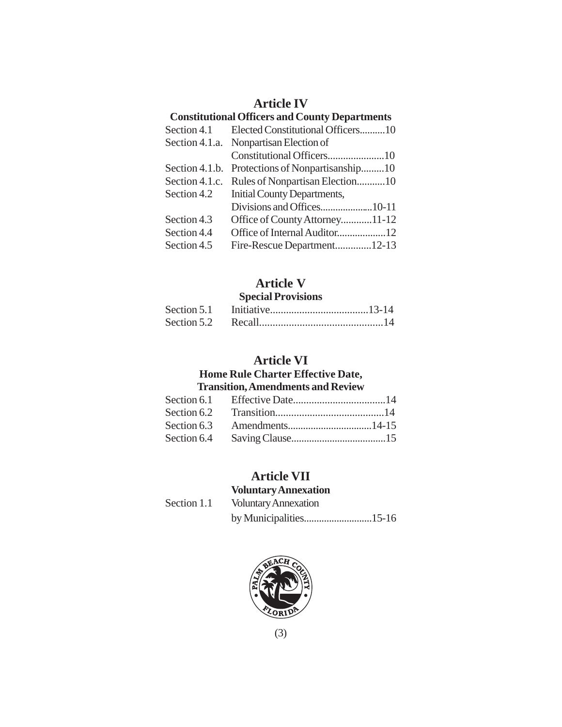# **Article IV**

| <b>Constitutional Officers and County Departments</b> |                                        |  |  |
|-------------------------------------------------------|----------------------------------------|--|--|
| Section 4.1                                           | Elected Constitutional Officers10      |  |  |
|                                                       | Section 4.1.a. Nonpartisan Election of |  |  |
|                                                       |                                        |  |  |
| Section 4.1.b.                                        | Protections of Nonpartisanship10       |  |  |
| Section 4.1.c.                                        | Rules of Nonpartisan Election10        |  |  |
| Section 4.2                                           | Initial County Departments,            |  |  |
|                                                       |                                        |  |  |
| Section 4.3                                           | Office of County Attorney11-12         |  |  |
| Section 4.4                                           |                                        |  |  |
| Section 4.5                                           | Fire-Rescue Department12-13            |  |  |
|                                                       |                                        |  |  |

# **Article V**

#### **Special Provisions**

# **Article VI**

#### **Home Rule Charter Effective Date, Transition, Amendments and Review**

# **Article VII Voluntary Annexation**

Section 1.1 Voluntary Annexation by Municipalities...........................15-16



(3)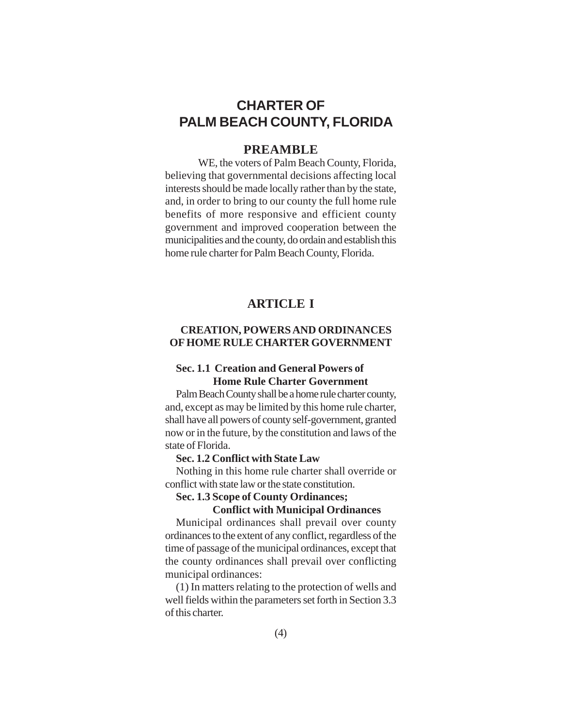# **CHARTER OF PALM BEACH COUNTY, FLORIDA**

# **PREAMBLE**

WE, the voters of Palm Beach County, Florida, believing that governmental decisions affecting local interests should be made locally rather than by the state, and, in order to bring to our county the full home rule benefits of more responsive and efficient county government and improved cooperation between the municipalities and the county, do ordain and establish this home rule charter for Palm Beach County, Florida.

# **ARTICLE I**

# **CREATION, POWERS AND ORDINANCES OF HOME RULE CHARTER GOVERNMENT**

## **Sec. 1.1 Creation and General Powers of Home Rule Charter Government**

Palm Beach County shall be a home rule charter county, and, except as may be limited by this home rule charter, shall have all powers of county self-government, granted now or in the future, by the constitution and laws of the state of Florida.

#### **Sec. 1.2 Conflict with State Law**

Nothing in this home rule charter shall override or conflict with state law or the state constitution.

#### **Sec. 1.3 Scope of County Ordinances;**

#### **Conflict with Municipal Ordinances**

Municipal ordinances shall prevail over county ordinances to the extent of any conflict, regardless of the time of passage of the municipal ordinances, except that the county ordinances shall prevail over conflicting municipal ordinances:

(1) In matters relating to the protection of wells and well fields within the parameters set forth in Section 3.3 of this charter.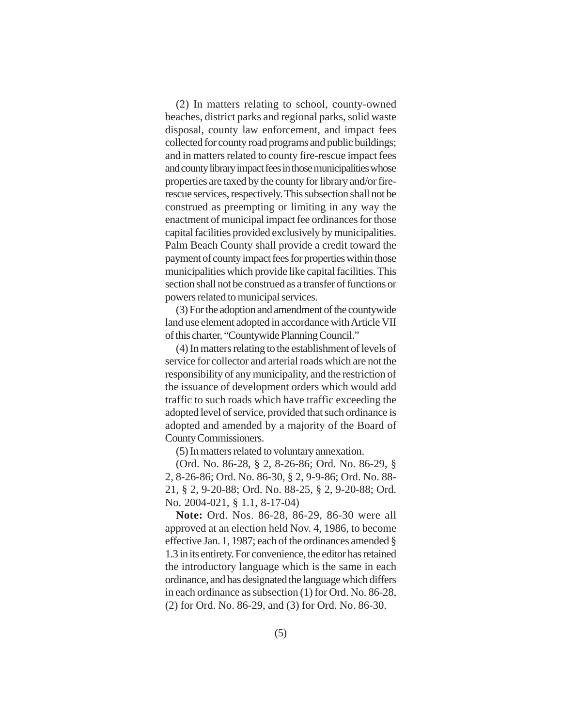(2) In matters relating to school, county-owned beaches, district parks and regional parks, solid waste disposal, county law enforcement, and impact fees collected for county road programs and public buildings; and in matters related to county fire-rescue impact fees and county library impact fees in those municipalities whose properties are taxed by the county for library and/or firerescue services, respectively. This subsection shall not be construed as preempting or limiting in any way the enactment of municipal impact fee ordinances for those capital facilities provided exclusively by municipalities. Palm Beach County shall provide a credit toward the payment of county impact fees for properties within those municipalities which provide like capital facilities. This section shall not be construed as a transfer of functions or powers related to municipal services.

(3) For the adoption and amendment of the countywide land use element adopted in accordance with Article VII of this charter, "Countywide Planning Council."

(4) In matters relating to the establishment of levels of service for collector and arterial roads which are not the responsibility of any municipality, and the restriction of the issuance of development orders which would add traffic to such roads which have traffic exceeding the adopted level of service, provided that such ordinance is adopted and amended by a majority of the Board of County Commissioners.

(5) In matters related to voluntary annexation.

(Ord. No. 86-28, § 2, 8-26-86; Ord. No. 86-29, § 2, 8-26-86; Ord. No. 86-30, § 2, 9-9-86; Ord. No. 88- 21, § 2, 9-20-88; Ord. No. 88-25, § 2, 9-20-88; Ord. No. 2004-021, § 1.1, 8-17-04)

**Note:** Ord. Nos. 86-28, 86-29, 86-30 were all approved at an election held Nov. 4, 1986, to become effective Jan. 1, 1987; each of the ordinances amended § 1.3 in its entirety. For convenience, the editor has retained the introductory language which is the same in each ordinance, and has designated the language which differs in each ordinance as subsection (1) for Ord. No. 86-28, (2) for Ord. No. 86-29, and (3) for Ord. No. 86-30.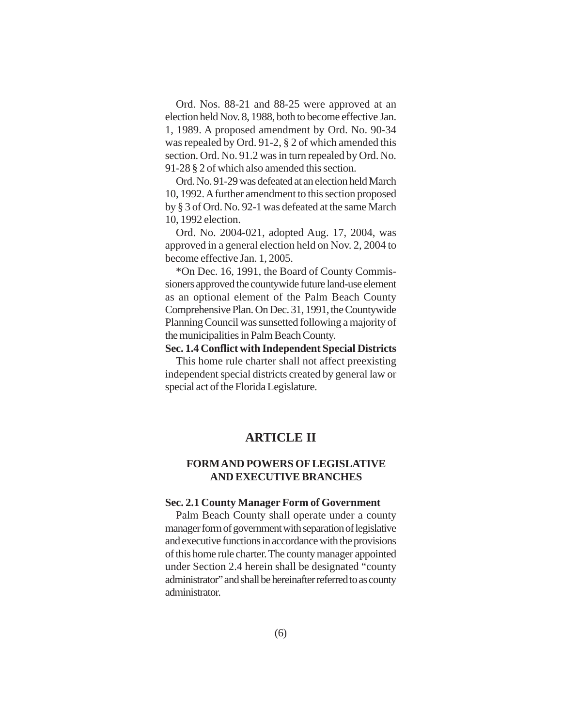Ord. Nos. 88-21 and 88-25 were approved at an election held Nov. 8, 1988, both to become effective Jan. 1, 1989. A proposed amendment by Ord. No. 90-34 was repealed by Ord. 91-2, § 2 of which amended this section. Ord. No. 91.2 was in turn repealed by Ord. No. 91-28 § 2 of which also amended this section.

Ord. No. 91-29 was defeated at an election held March 10, 1992. A further amendment to this section proposed by § 3 of Ord. No. 92-1 was defeated at the same March 10, 1992 election.

Ord. No. 2004-021, adopted Aug. 17, 2004, was approved in a general election held on Nov. 2, 2004 to become effective Jan. 1, 2005.

\*On Dec. 16, 1991, the Board of County Commissioners approved the countywide future land-use element as an optional element of the Palm Beach County Comprehensive Plan. On Dec. 31, 1991, the Countywide Planning Council was sunsetted following a majority of the municipalities in Palm Beach County.

**Sec. 1.4 Conflict with Independent Special Districts** This home rule charter shall not affect preexisting independent special districts created by general law or special act of the Florida Legislature.

# **ARTICLE II**

#### **FORM AND POWERS OF LEGISLATIVE AND EXECUTIVE BRANCHES**

#### **Sec. 2.1 County Manager Form of Government**

Palm Beach County shall operate under a county manager form of government with separation of legislative and executive functions in accordance with the provisions of this home rule charter. The county manager appointed under Section 2.4 herein shall be designated "county administrator" and shall be hereinafter referred to as county administrator.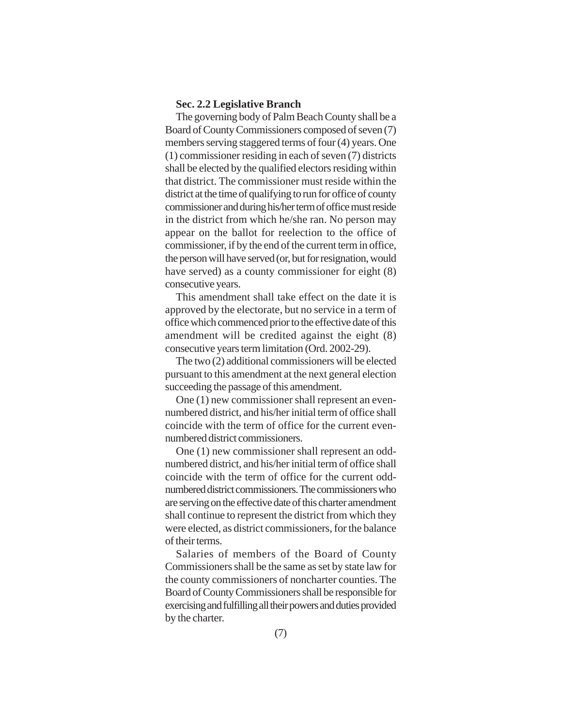## **Sec. 2.2 Legislative Branch**

The governing body of Palm Beach County shall be a Board of County Commissioners composed of seven (7) members serving staggered terms of four (4) years. One (1) commissioner residing in each of seven (7) districts shall be elected by the qualified electors residing within that district. The commissioner must reside within the district at the time of qualifying to run for office of county commissioner and during his/her term of office must reside in the district from which he/she ran. No person may appear on the ballot for reelection to the office of commissioner, if by the end of the current term in office, the person will have served (or, but for resignation, would have served) as a county commissioner for eight (8) consecutive years.

This amendment shall take effect on the date it is approved by the electorate, but no service in a term of office which commenced prior to the effective date of this amendment will be credited against the eight (8) consecutive years term limitation (Ord. 2002-29).

The two (2) additional commissioners will be elected pursuant to this amendment at the next general election succeeding the passage of this amendment.

One (1) new commissioner shall represent an evennumbered district, and his/her initial term of office shall coincide with the term of office for the current evennumbered district commissioners.

One (1) new commissioner shall represent an oddnumbered district, and his/her initial term of office shall coincide with the term of office for the current oddnumbered district commissioners. The commissioners who are serving on the effective date of this charter amendment shall continue to represent the district from which they were elected, as district commissioners, for the balance of their terms.

Salaries of members of the Board of County Commissioners shall be the same as set by state law for the county commissioners of noncharter counties. The Board of County Commissioners shall be responsible for exercising and fulfilling all their powers and duties provided by the charter.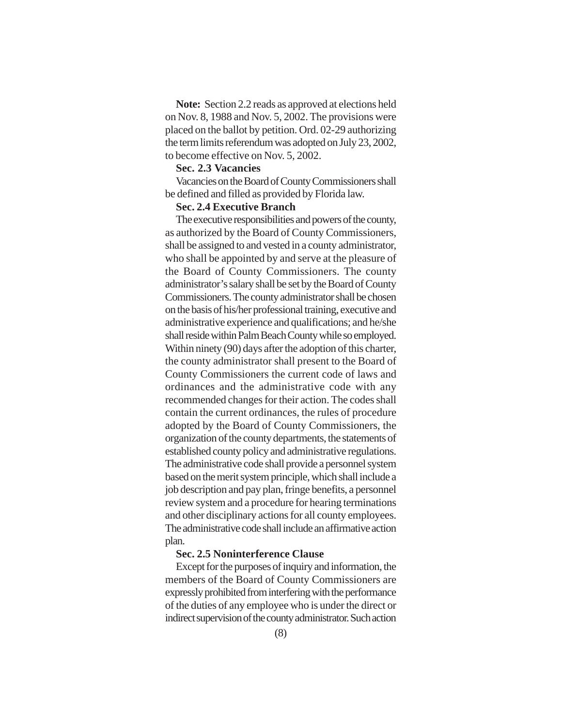**Note:** Section 2.2 reads as approved at elections held on Nov. 8, 1988 and Nov. 5, 2002. The provisions were placed on the ballot by petition. Ord. 02-29 authorizing the term limits referendum was adopted on July 23, 2002, to become effective on Nov. 5, 2002.

#### **Sec. 2.3 Vacancies**

Vacancies on the Board of County Commissioners shall be defined and filled as provided by Florida law.

# **Sec. 2.4 Executive Branch**

The executive responsibilities and powers of the county, as authorized by the Board of County Commissioners, shall be assigned to and vested in a county administrator, who shall be appointed by and serve at the pleasure of the Board of County Commissioners. The county administrator's salary shall be set by the Board of County Commissioners. The county administrator shall be chosen on the basis of his/her professional training, executive and administrative experience and qualifications; and he/she shall reside within Palm Beach County while so employed. Within ninety (90) days after the adoption of this charter, the county administrator shall present to the Board of County Commissioners the current code of laws and ordinances and the administrative code with any recommended changes for their action. The codes shall contain the current ordinances, the rules of procedure adopted by the Board of County Commissioners, the organization of the county departments, the statements of established county policy and administrative regulations. The administrative code shall provide a personnel system based on the merit system principle, which shall include a job description and pay plan, fringe benefits, a personnel review system and a procedure for hearing terminations and other disciplinary actions for all county employees. The administrative code shall include an affirmative action plan.

#### **Sec. 2.5 Noninterference Clause**

Except for the purposes of inquiry and information, the members of the Board of County Commissioners are expressly prohibited from interfering with the performance of the duties of any employee who is under the direct or indirect supervision of the county administrator. Such action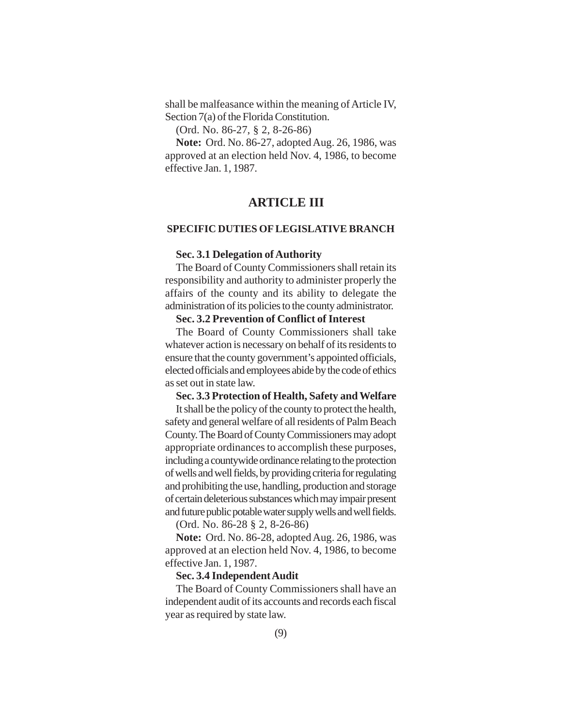shall be malfeasance within the meaning of Article IV, Section 7(a) of the Florida Constitution.

(Ord. No. 86-27, § 2, 8-26-86)

**Note:** Ord. No. 86-27, adopted Aug. 26, 1986, was approved at an election held Nov. 4, 1986, to become effective Jan. 1, 1987.

# **ARTICLE III**

#### **SPECIFIC DUTIES OF LEGISLATIVE BRANCH**

#### **Sec. 3.1 Delegation of Authority**

The Board of County Commissioners shall retain its responsibility and authority to administer properly the affairs of the county and its ability to delegate the administration of its policies to the county administrator.

## **Sec. 3.2 Prevention of Conflict of Interest**

The Board of County Commissioners shall take whatever action is necessary on behalf of its residents to ensure that the county government's appointed officials, elected officials and employees abide by the code of ethics as set out in state law.

#### **Sec. 3.3 Protection of Health, Safety and Welfare**

It shall be the policy of the county to protect the health, safety and general welfare of all residents of Palm Beach County. The Board of County Commissioners may adopt appropriate ordinances to accomplish these purposes, including a countywide ordinance relating to the protection of wells and well fields, by providing criteria for regulating and prohibiting the use, handling, production and storage of certain deleterious substances which may impair present and future public potable water supply wells and well fields.

(Ord. No. 86-28 § 2, 8-26-86)

**Note:** Ord. No. 86-28, adopted Aug. 26, 1986, was approved at an election held Nov. 4, 1986, to become effective Jan. 1, 1987.

#### **Sec. 3.4 Independent Audit**

The Board of County Commissioners shall have an independent audit of its accounts and records each fiscal year as required by state law.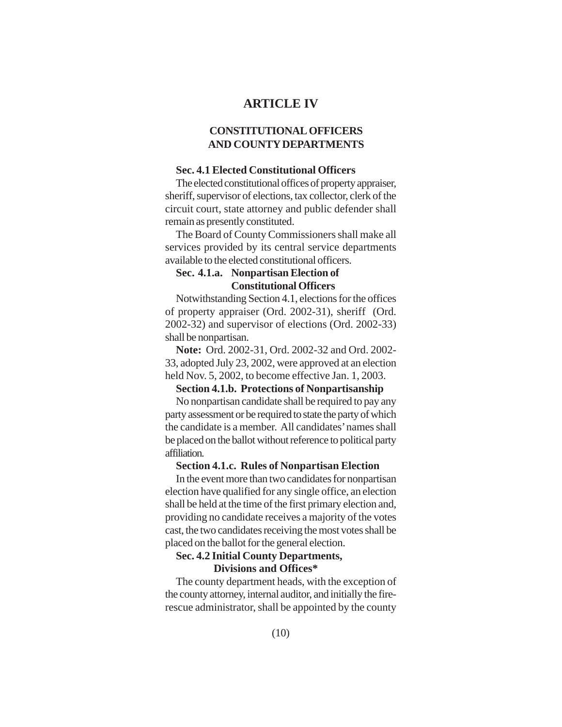# **ARTICLE IV**

# **CONSTITUTIONAL OFFICERS AND COUNTY DEPARTMENTS**

## **Sec. 4.1 Elected Constitutional Officers**

The elected constitutional offices of property appraiser, sheriff, supervisor of elections, tax collector, clerk of the circuit court, state attorney and public defender shall remain as presently constituted.

The Board of County Commissioners shall make all services provided by its central service departments available to the elected constitutional officers.

## **Sec. 4.1.a. Nonpartisan Election of Constitutional Officers**

Notwithstanding Section 4.1, elections for the offices of property appraiser (Ord. 2002-31), sheriff (Ord. 2002-32) and supervisor of elections (Ord. 2002-33) shall be nonpartisan.

**Note:** Ord. 2002-31, Ord. 2002-32 and Ord. 2002- 33, adopted July 23, 2002, were approved at an election held Nov. 5, 2002, to become effective Jan. 1, 2003.

#### **Section 4.1.b. Protections of Nonpartisanship**

No nonpartisan candidate shall be required to pay any party assessment or be required to state the party of which the candidate is a member. All candidates' names shall be placed on the ballot without reference to political party affiliation.

## **Section 4.1.c. Rules of Nonpartisan Election**

In the event more than two candidates for nonpartisan election have qualified for any single office, an election shall be held at the time of the first primary election and, providing no candidate receives a majority of the votes cast, the two candidates receiving the most votes shall be placed on the ballot for the general election.

# **Sec. 4.2 Initial County Departments,**

 **Divisions and Offices\***

The county department heads, with the exception of the county attorney, internal auditor, and initially the firerescue administrator, shall be appointed by the county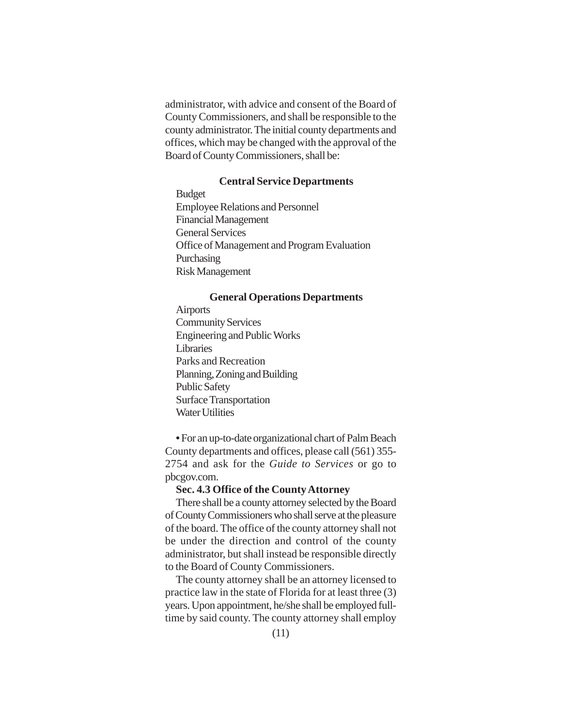administrator, with advice and consent of the Board of County Commissioners, and shall be responsible to the county administrator. The initial county departments and offices, which may be changed with the approval of the Board of County Commissioners, shall be:

## **Central Service Departments**

Budget Employee Relations and Personnel Financial Management General Services Office of Management and Program Evaluation Purchasing Risk Management

## **General Operations Departments**

Airports Community Services Engineering and Public Works Libraries Parks and Recreation Planning, Zoning and Building Public Safety Surface Transportation Water Hilities

**•** For an up-to-date organizational chart of Palm Beach County departments and offices, please call (561) 355- 2754 and ask for the *Guide to Services* or go to pbcgov.com.

## **Sec. 4.3 Office of the County Attorney**

There shall be a county attorney selected by the Board of County Commissioners who shall serve at the pleasure of the board. The office of the county attorney shall not be under the direction and control of the county administrator, but shall instead be responsible directly to the Board of County Commissioners.

The county attorney shall be an attorney licensed to practice law in the state of Florida for at least three (3) years. Upon appointment, he/she shall be employed fulltime by said county. The county attorney shall employ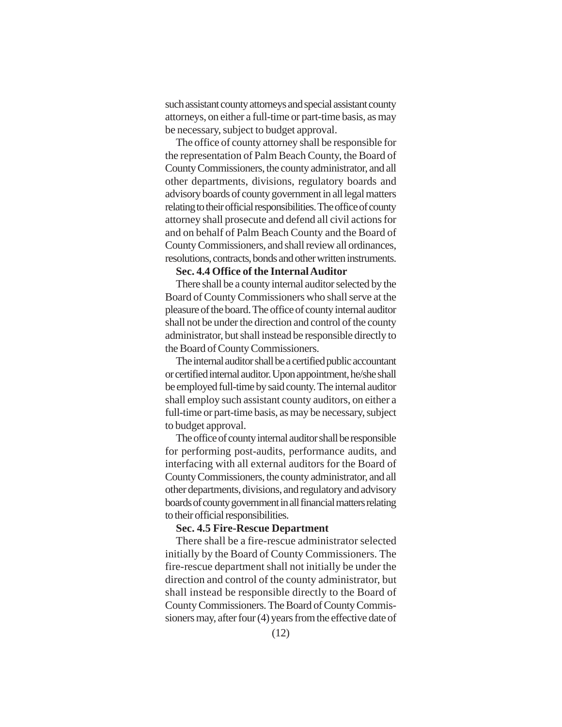such assistant county attorneys and special assistant county attorneys, on either a full-time or part-time basis, as may be necessary, subject to budget approval.

The office of county attorney shall be responsible for the representation of Palm Beach County, the Board of County Commissioners, the county administrator, and all other departments, divisions, regulatory boards and advisory boards of county government in all legal matters relating to their official responsibilities. The office of county attorney shall prosecute and defend all civil actions for and on behalf of Palm Beach County and the Board of County Commissioners, and shall review all ordinances, resolutions, contracts, bonds and other written instruments.

# **Sec. 4.4 Office of the Internal Auditor**

There shall be a county internal auditor selected by the Board of County Commissioners who shall serve at the pleasure of the board. The office of county internal auditor shall not be under the direction and control of the county administrator, but shall instead be responsible directly to the Board of County Commissioners.

The internal auditor shall be a certified public accountant or certified internal auditor. Upon appointment, he/she shall be employed full-time by said county. The internal auditor shall employ such assistant county auditors, on either a full-time or part-time basis, as may be necessary, subject to budget approval.

The office of county internal auditor shall be responsible for performing post-audits, performance audits, and interfacing with all external auditors for the Board of County Commissioners, the county administrator, and all other departments, divisions, and regulatory and advisory boards of county government in all financial matters relating to their official responsibilities.

#### **Sec. 4.5 Fire-Rescue Department**

There shall be a fire-rescue administrator selected initially by the Board of County Commissioners. The fire-rescue department shall not initially be under the direction and control of the county administrator, but shall instead be responsible directly to the Board of County Commissioners. The Board of County Commissioners may, after four (4) years from the effective date of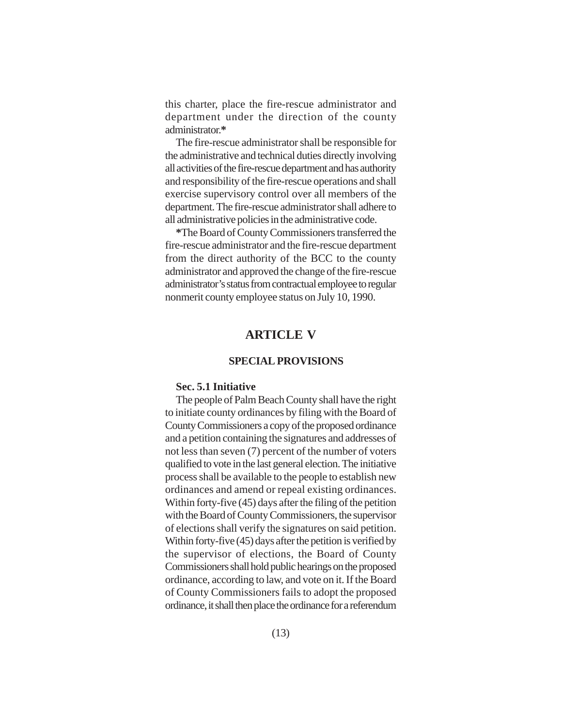this charter, place the fire-rescue administrator and department under the direction of the county administrator.**\***

The fire-rescue administrator shall be responsible for the administrative and technical duties directly involving all activities of the fire-rescue department and has authority and responsibility of the fire-rescue operations and shall exercise supervisory control over all members of the department. The fire-rescue administrator shall adhere to all administrative policies in the administrative code.

**\***The Board of County Commissioners transferred the fire-rescue administrator and the fire-rescue department from the direct authority of the BCC to the county administrator and approved the change of the fire-rescue administrator's status from contractual employee to regular nonmerit county employee status on July 10, 1990.

# **ARTICLE V**

#### **SPECIAL PROVISIONS**

#### **Sec. 5.1 Initiative**

The people of Palm Beach County shall have the right to initiate county ordinances by filing with the Board of County Commissioners a copy of the proposed ordinance and a petition containing the signatures and addresses of not less than seven (7) percent of the number of voters qualified to vote in the last general election. The initiative process shall be available to the people to establish new ordinances and amend or repeal existing ordinances. Within forty-five (45) days after the filing of the petition with the Board of County Commissioners, the supervisor of elections shall verify the signatures on said petition. Within forty-five (45) days after the petition is verified by the supervisor of elections, the Board of County Commissioners shall hold public hearings on the proposed ordinance, according to law, and vote on it. If the Board of County Commissioners fails to adopt the proposed ordinance, it shall then place the ordinance for a referendum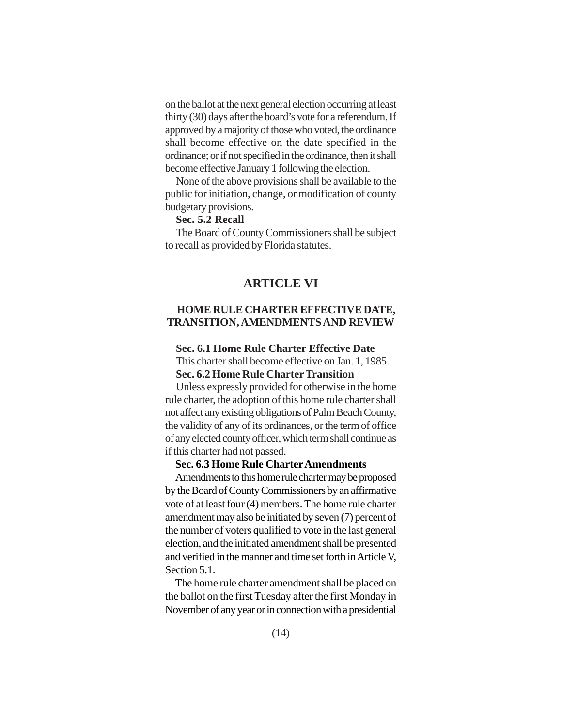on the ballot at the next general election occurring at least thirty (30) days after the board's vote for a referendum. If approved by a majority of those who voted, the ordinance shall become effective on the date specified in the ordinance; or if not specified in the ordinance, then it shall become effective January 1 following the election.

None of the above provisions shall be available to the public for initiation, change, or modification of county budgetary provisions.

#### **Sec. 5.2 Recall**

The Board of County Commissioners shall be subject to recall as provided by Florida statutes.

# **ARTICLE VI**

## **HOME RULE CHARTER EFFECTIVE DATE, TRANSITION, AMENDMENTS AND REVIEW**

# **Sec. 6.1 Home Rule Charter Effective Date**

This charter shall become effective on Jan. 1, 1985. **Sec. 6.2 Home Rule Charter Transition**

Unless expressly provided for otherwise in the home rule charter, the adoption of this home rule charter shall not affect any existing obligations of Palm Beach County, the validity of any of its ordinances, or the term of office of any elected county officer, which term shall continue as if this charter had not passed.

## **Sec. 6.3 Home Rule Charter Amendments**

Amendments to this home rule charter may be proposed by the Board of County Commissioners by an affirmative vote of at least four (4) members. The home rule charter amendment may also be initiated by seven (7) percent of the number of voters qualified to vote in the last general election, and the initiated amendment shall be presented and verified in the manner and time set forth in Article V, Section 5.1.

The home rule charter amendment shall be placed on the ballot on the first Tuesday after the first Monday in November of any year or in connection with a presidential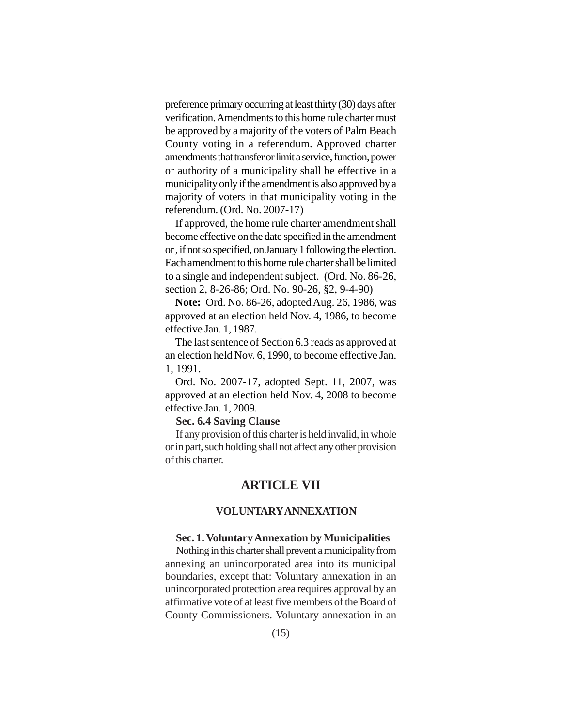preference primary occurring at least thirty (30) days after verification. Amendments to this home rule charter must be approved by a majority of the voters of Palm Beach County voting in a referendum. Approved charter amendments that transfer or limit a service, function, power or authority of a municipality shall be effective in a municipality only if the amendment is also approved by a majority of voters in that municipality voting in the referendum. (Ord. No. 2007-17)

If approved, the home rule charter amendment shall become effective on the date specified in the amendment or , if not so specified, on January 1 following the election. Each amendment to this home rule charter shall be limited to a single and independent subject. (Ord. No. 86-26, section 2, 8-26-86; Ord. No. 90-26, §2, 9-4-90)

**Note:** Ord. No. 86-26, adopted Aug. 26, 1986, was approved at an election held Nov. 4, 1986, to become effective Jan. 1, 1987.

The last sentence of Section 6.3 reads as approved at an election held Nov. 6, 1990, to become effective Jan. 1, 1991.

Ord. No. 2007-17, adopted Sept. 11, 2007, was approved at an election held Nov. 4, 2008 to become effective Jan. 1, 2009.

#### **Sec. 6.4 Saving Clause**

If any provision of this charter is held invalid, in whole or in part, such holding shall not affect any other provision of this charter.

# **ARTICLE VII**

## **VOLUNTARY ANNEXATION**

#### **Sec. 1. Voluntary Annexation by Municipalities**

Nothing in this charter shall prevent a municipality from annexing an unincorporated area into its municipal boundaries, except that: Voluntary annexation in an unincorporated protection area requires approval by an affirmative vote of at least five members of the Board of County Commissioners. Voluntary annexation in an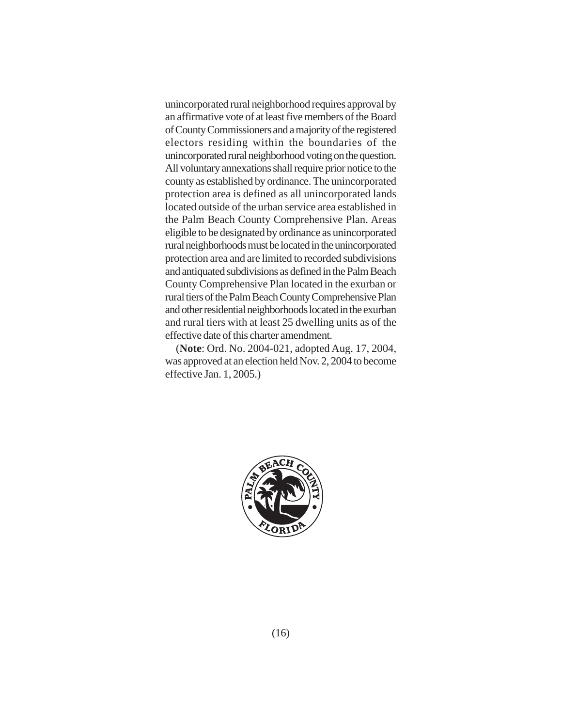unincorporated rural neighborhood requires approval by an affirmative vote of at least five members of the Board of County Commissioners and a majority of the registered electors residing within the boundaries of the unincorporated rural neighborhood voting on the question. All voluntary annexations shall require prior notice to the county as established by ordinance. The unincorporated protection area is defined as all unincorporated lands located outside of the urban service area established in the Palm Beach County Comprehensive Plan. Areas eligible to be designated by ordinance as unincorporated rural neighborhoods must be located in the unincorporated protection area and are limited to recorded subdivisions and antiquated subdivisions as defined in the Palm Beach County Comprehensive Plan located in the exurban or rural tiers of the Palm Beach County Comprehensive Plan and other residential neighborhoods located in the exurban and rural tiers with at least 25 dwelling units as of the effective date of this charter amendment.

(**Note**: Ord. No. 2004-021, adopted Aug. 17, 2004, was approved at an election held Nov. 2, 2004 to become effective Jan. 1, 2005.)